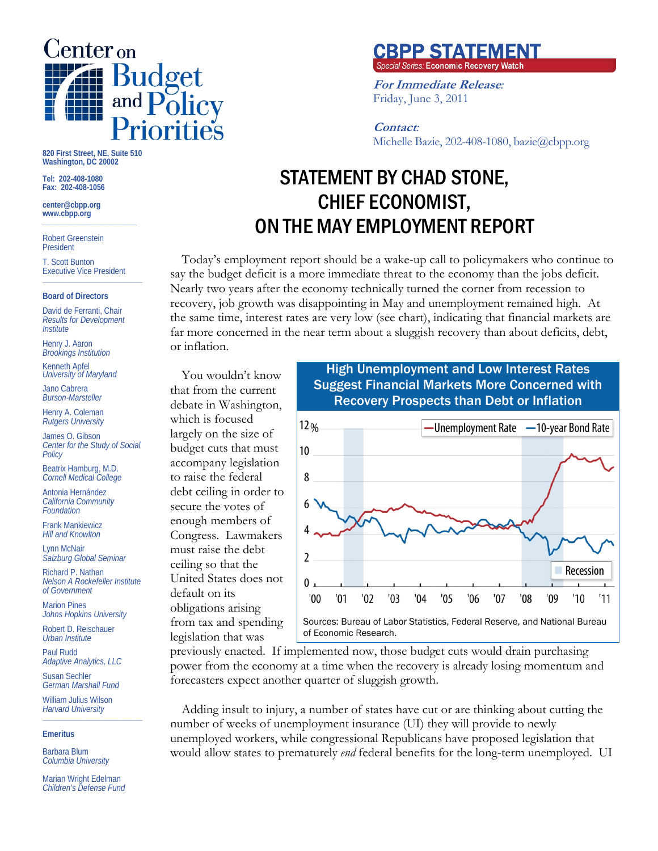

**820 First Street, NE, Suite 510 Washington, DC 20002** 

**Tel: 202-408-1080 Fax: 202-408-1056** 

**center@cbpp.org www.cbpp.org \_\_\_\_\_\_\_\_\_\_\_\_\_\_\_\_\_\_\_\_\_\_\_\_** 

Robert Greenstein President

T. Scott Bunton Executive Vice President **\_\_\_\_\_\_\_\_\_\_\_\_\_\_\_\_\_\_\_\_\_\_\_\_** 

#### **Board of Directors**

David de Ferranti, Chair *Results for Development Institute* 

Henry J. Aaron *Brookings Institution* 

Kenneth Apfel *University of Maryland* 

Jano Cabrera *Burson-Marsteller* 

Henry A. Coleman *Rutgers University* 

James O. Gibson *Center for the Study of Social Policy* 

Beatrix Hamburg, M.D. *Cornell Medical College* 

Antonia Hernández *California Community Foundation* 

Frank Mankiewicz *Hill and Knowlton* 

Lynn McNair *Salzburg Global Seminar* 

Richard P. Nathan *Nelson A Rockefeller Institute of Government* 

Marion Pines *Johns Hopkins University* 

Robert D. Reischauer *Urban Institute* 

Paul Rudd *Adaptive Analytics, LLC* 

Susan Sechler *German Marshall Fund* 

William Julius Wilson *Harvard University*  **\_\_\_\_\_\_\_\_\_\_\_\_\_\_\_\_\_\_\_\_\_\_\_\_** 

### **Emeritus**

Barbara Blum *Columbia University* 

Marian Wright Edelman *Children's Defense Fund* 

# the same time, interest rates are very low (see chart), indicating that financial markets are far more concerned in the near term about a sluggish recovery than about deficits, debt, High Unemployment and Low Interest Rates

**CBPP STATEMENT**<br>Special Series: Economic Recovery Watch

Michelle Bazie, 202-408-1080, bazie@cbpp.org

**For Immediate Release***:*

Friday, June 3, 2011

Suggest Financial Markets More Concerned with

STATEMENT BY CHAD STONE,

**Contact***:*

CHIEF ECONOMIST,

ON THE MAY EMPLOYMENT REPORT

Today's employment report should be a wake-up call to policymakers who continue to say the budget deficit is a more immediate threat to the economy than the jobs deficit. Nearly two years after the economy technically turned the corner from recession to recovery, job growth was disappointing in May and unemployment remained high. At

You wouldn't know that from the current debate in Washington, which is focused largely on the size of budget cuts that must accompany legislation to raise the federal debt ceiling in order to secure the votes of enough members of Congress. Lawmakers must raise the debt ceiling so that the United States does not default on its obligations arising from tax and spending legislation that was

or inflation.



previously enacted. If implemented now, those budget cuts would drain purchasing power from the economy at a time when the recovery is already losing momentum and forecasters expect another quarter of sluggish growth.

Adding insult to injury, a number of states have cut or are thinking about cutting the number of weeks of unemployment insurance (UI) they will provide to newly unemployed workers, while congressional Republicans have proposed legislation that would allow states to prematurely *end* federal benefits for the long-term unemployed. UI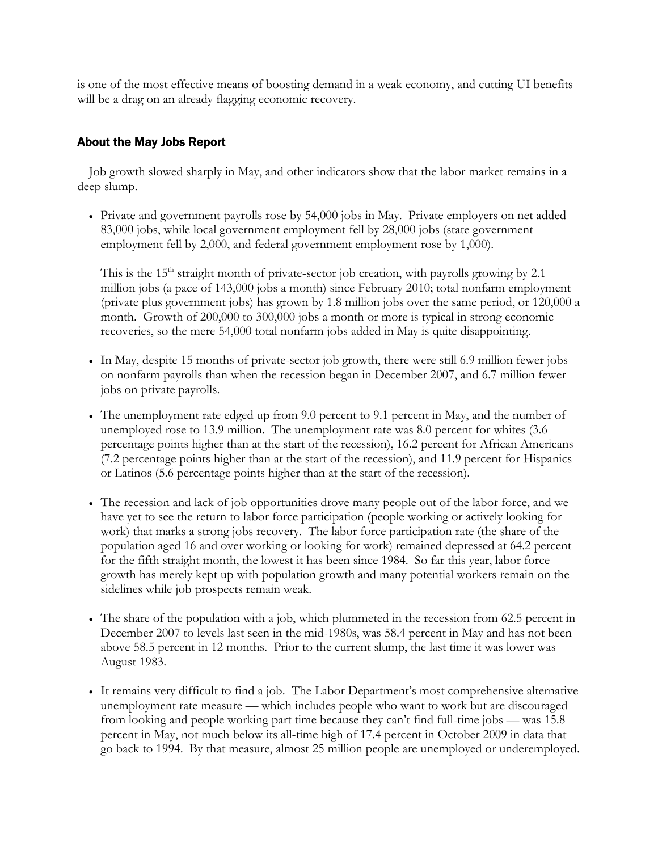is one of the most effective means of boosting demand in a weak economy, and cutting UI benefits will be a drag on an already flagging economic recovery.

## About the May Jobs Report

Job growth slowed sharply in May, and other indicators show that the labor market remains in a deep slump.

 Private and government payrolls rose by 54,000 jobs in May. Private employers on net added 83,000 jobs, while local government employment fell by 28,000 jobs (state government employment fell by 2,000, and federal government employment rose by 1,000).

This is the  $15<sup>th</sup>$  straight month of private-sector job creation, with payrolls growing by 2.1 million jobs (a pace of 143,000 jobs a month) since February 2010; total nonfarm employment (private plus government jobs) has grown by 1.8 million jobs over the same period, or 120,000 a month. Growth of 200,000 to 300,000 jobs a month or more is typical in strong economic recoveries, so the mere 54,000 total nonfarm jobs added in May is quite disappointing.

- In May, despite 15 months of private-sector job growth, there were still 6.9 million fewer jobs on nonfarm payrolls than when the recession began in December 2007, and 6.7 million fewer jobs on private payrolls.
- The unemployment rate edged up from 9.0 percent to 9.1 percent in May, and the number of unemployed rose to 13.9 million. The unemployment rate was 8.0 percent for whites (3.6 percentage points higher than at the start of the recession), 16.2 percent for African Americans (7.2 percentage points higher than at the start of the recession), and 11.9 percent for Hispanics or Latinos (5.6 percentage points higher than at the start of the recession).
- The recession and lack of job opportunities drove many people out of the labor force, and we have yet to see the return to labor force participation (people working or actively looking for work) that marks a strong jobs recovery. The labor force participation rate (the share of the population aged 16 and over working or looking for work) remained depressed at 64.2 percent for the fifth straight month, the lowest it has been since 1984. So far this year, labor force growth has merely kept up with population growth and many potential workers remain on the sidelines while job prospects remain weak.
- The share of the population with a job, which plummeted in the recession from 62.5 percent in December 2007 to levels last seen in the mid-1980s, was 58.4 percent in May and has not been above 58.5 percent in 12 months. Prior to the current slump, the last time it was lower was August 1983.
- It remains very difficult to find a job. The Labor Department's most comprehensive alternative unemployment rate measure — which includes people who want to work but are discouraged from looking and people working part time because they can't find full-time jobs — was 15.8 percent in May, not much below its all-time high of 17.4 percent in October 2009 in data that go back to 1994. By that measure, almost 25 million people are unemployed or underemployed.